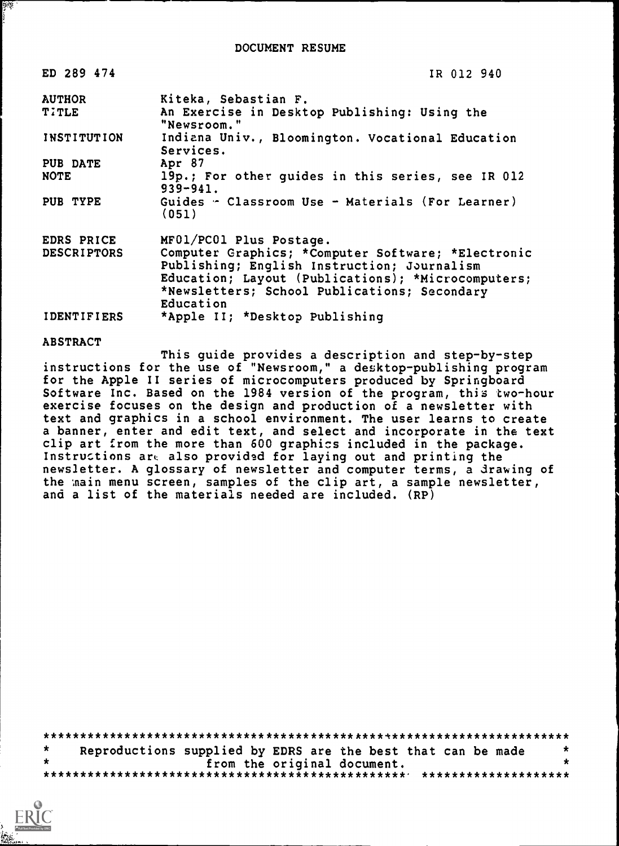| ED 289 474         | IR 012 940                                                                                                                                                                                                           |
|--------------------|----------------------------------------------------------------------------------------------------------------------------------------------------------------------------------------------------------------------|
| <b>AUTHOR</b>      | Kiteka, Sebastian F.                                                                                                                                                                                                 |
| <b>TITLE</b>       | An Exercise in Desktop Publishing: Using the<br>"Newsroom."                                                                                                                                                          |
| INSTITUTION        | Indiana Univ., Bloomington. Vocational Education<br>Services.                                                                                                                                                        |
| PUB DATE           | Apr 87                                                                                                                                                                                                               |
| <b>NOTE</b>        | 19p.; For other quides in this series, see IR 012<br>$939 - 941.$                                                                                                                                                    |
| PUB TYPE           | Guides - Classroom Use - Materials (For Learner)<br>(051)                                                                                                                                                            |
| EDRS PRICE         | MF01/PC01 Plus Postage.                                                                                                                                                                                              |
| <b>DESCRIPTORS</b> | Computer Graphics; *Computer Software; *Electronic<br>Publishing; English Instruction; Journalism<br>Education; Layout (Publications); *Microcomputers;<br>*Newsletters; School Publications; Secondary<br>Education |
| <b>IDENTIFIERS</b> | *Apple II; *Desktop Publishing                                                                                                                                                                                       |

#### **ABSTRACT**

 $\frac{1}{2} \mathbb{E} \left[ \mathbb{E} \right]$ 

This guide provides a description and step-by-step instructions for the use of "Newsroom," a desktop-publishing program<br>for the Apple II series of microcomputers produced by Springboard Software Inc. Based on the 1984 version of the program, this two-hour exercise focuses on the design and production of a newsletter with text and graphics in a school environment. The user learns to create a banner, enter and edit text, and select and incorporate in the text clip art from the more than 600 graphics included in the package. Instructions are also provided for laying out and printing the newsletter. A glossary of newsletter and computer terms, a drawing of the main menu screen, samples of the clip art, a sample newsletter, and a list of the materials needed are included. (RP)

| Reproductions supplied by EDRS are the best that can be made |  |                             |  | 大 |
|--------------------------------------------------------------|--|-----------------------------|--|---|
|                                                              |  | from the original document. |  |   |
|                                                              |  |                             |  |   |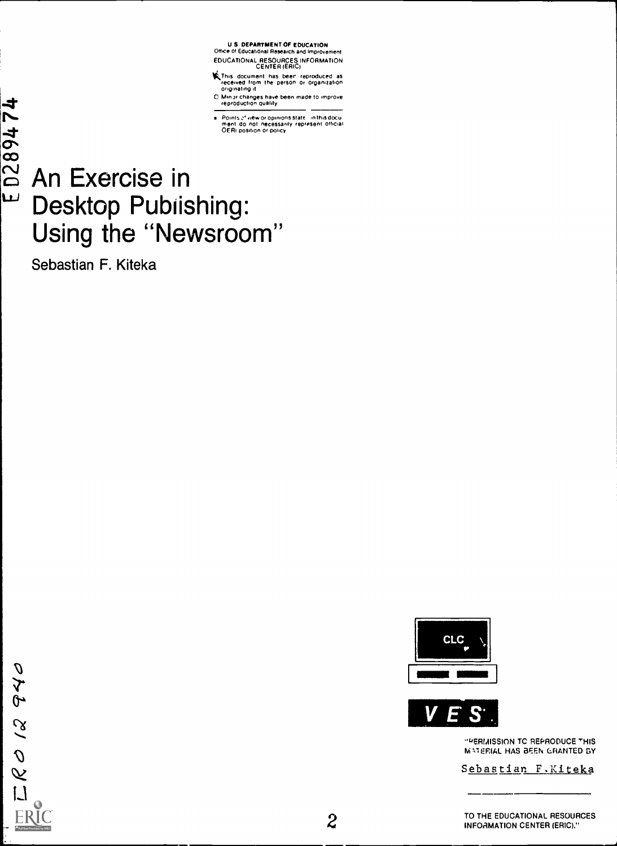U.S. DEPARTMENT OF EDUCATION<br>Office of Educational Research and Improvement EDUCATIONAL RESOURCES INFORMATION

This document has been reproduced as<br>received from the person or organization<br>originating it

C Minor changes have been made to improve<br>reproduction quality

Points of view or opinions state ⊹in this docu<br>ment: do inot: necessarily: represent: official<br>OERI position or policy

# An Exercise in Desktop Pubiishing: Using the "Newsroom"

Sebastian F. Kiteka





"PERMISSION TO REPRODUCE THIS **MATERIAL HAS BEEN GRANTED BY** 

Sebastian F.Kiteka

TO THE EDUCATIONAL RESOURCES **INFOAMATION CENTER (ERIC)."** 

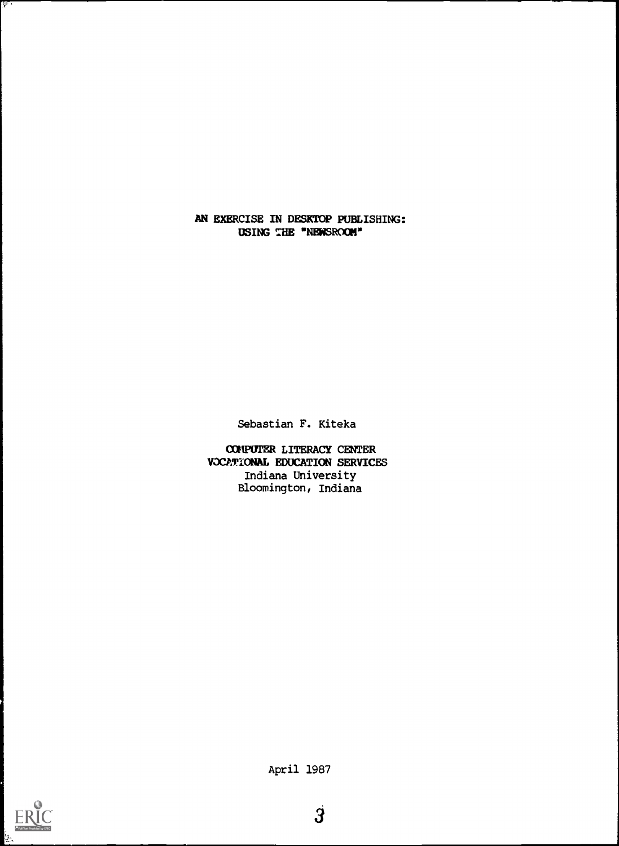AN EXERCISE IN DESKTOP PUBLISHING: USING THE "NEWSROOM"

Sebastian F. Kiteka

COMPUTER LITERACY CENTER VOCATIONAL EDUCATION SERVICES Indiana University Bloomington, Indiana



 $\mathbf{y}$ 

April 1987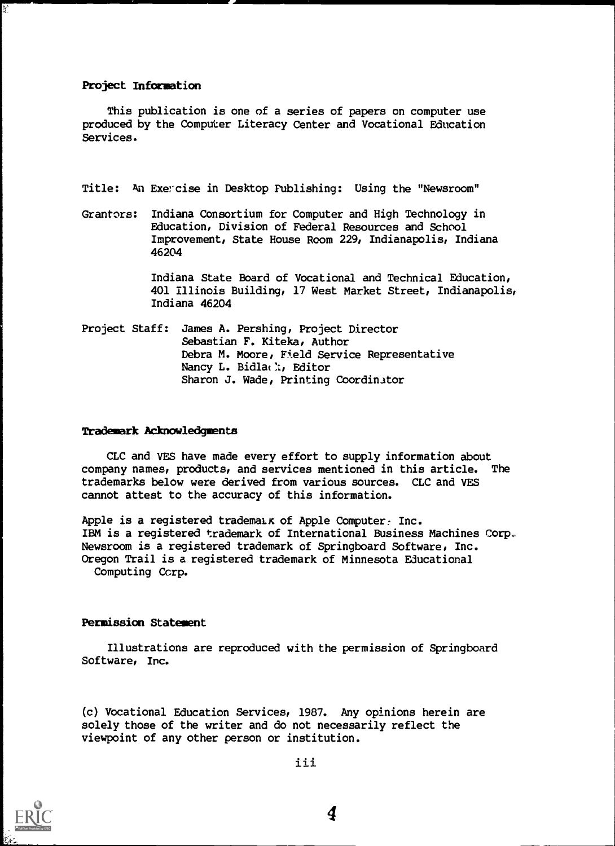Project Information

¥,

This publication is one of a series of papers on computer use produced by the Computer Literacy Center and Vocational Education Services.

Title: An Exercise in Desktop Publishing: Using the "Newsroom"

Grantors: Indiana Consortium for Computer and High Technology in Education, Division of Federal Resources and School Improvement, State House Room 229, Indianapolis, Indiana 46204

> Indiana State Board of Vocational and Technical Education, 401 Illinois Building, 17 West Market Street, Indianapolis, Indiana 46204

Project Staff: James A. Pershing, Project Director Sebastian F. Kiteka, Author Debra M. Moore, Field Service Representative Nancy L. Bidla(); Editor Sharon J. Wade, Printing Coordinator

# Trademark Acknowledgments

CLC and VES have made every effort to supply information about company names, products, and services mentioned in this article. The trademarks below were derived from various sources. CLC and VES cannot attest to the accuracy of this information.

Apple is a registered trademaik of Apple Computer: Inc. IBM is a registered trademark of International Business Machines Corp Newsroom is a registered trademark of Springboard Software, Inc. Oregon Trail is a registered trademark of Minnesota Educational Computing Ccrp.

## Permission Statement

Illustrations are reproduced with the permission of Springboard Software, Inc.

(c) Vocational Education Services, 1987. Any opinions herein are solely those of the writer and do not necessarily reflect the viewpoint of any other person or institution.



ii i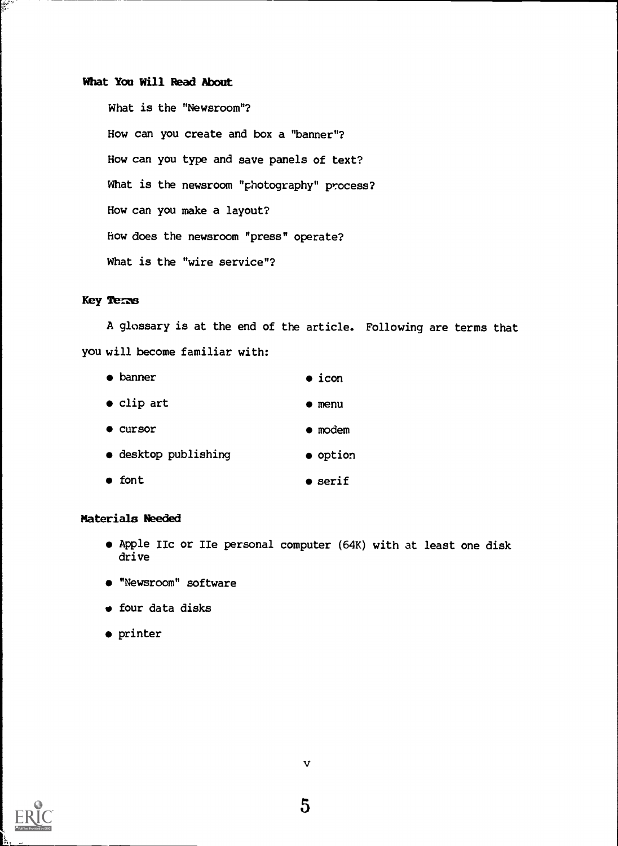# What You Will Read About

What is the "Newsroom"? How can you create and box a "banner"? How can you type and save panels of text? What is the newsroom "photography" process? How can you make a layout? How does the newsroom "press" operate? What is the "wire service"?

# Key Terms

سم شرق<br>المقبرة

A glossary is at the end of the article. Following are terms that you will become familiar with:

|           | banner               | $\bullet$ icon  |
|-----------|----------------------|-----------------|
|           | $\bullet$ clip art   | menu            |
|           | <b>Cursor</b>        | $\bullet$ modem |
|           | • desktop publishing | • option        |
| $\bullet$ | font                 | serif           |

# Materials Needed

- Apple IIc or IIe personal computer (64K) with at least one disk drive
- "Newsroom" software
- four data disks
- printer



 $\mathbf v$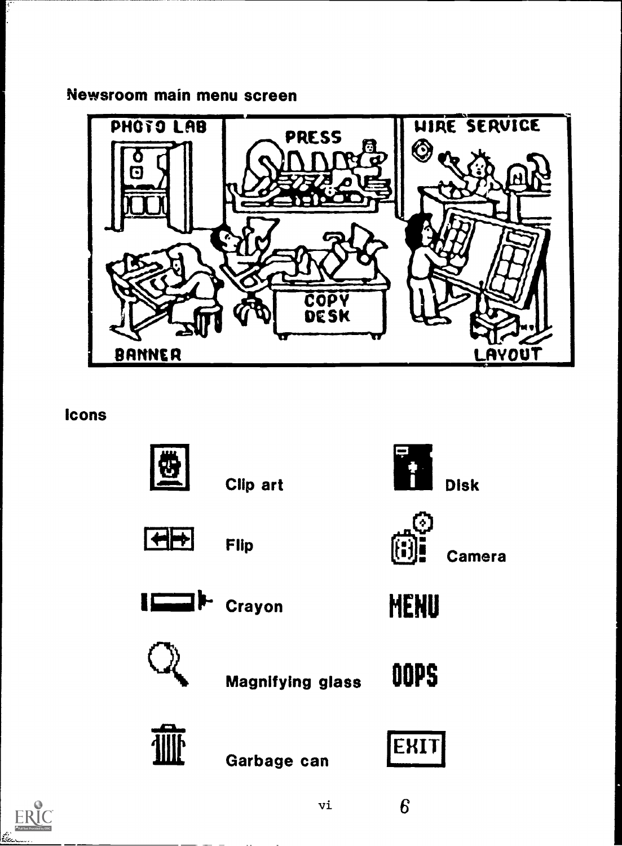Newsroom main menu screen



**Icons** 



Clip art



**Flip** 



 $\overline{\phantom{a}}$  Disk



**Camera** 





MENU



Garbage can

**Magnifying glass** 



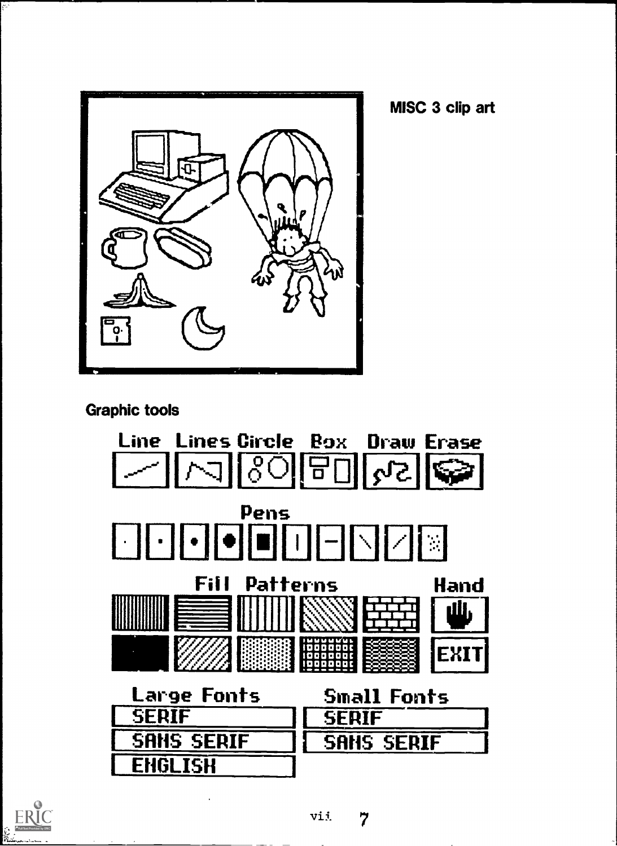

MISC 3 clip art

**Graphic tools** 





 $\overline{\xi^2}$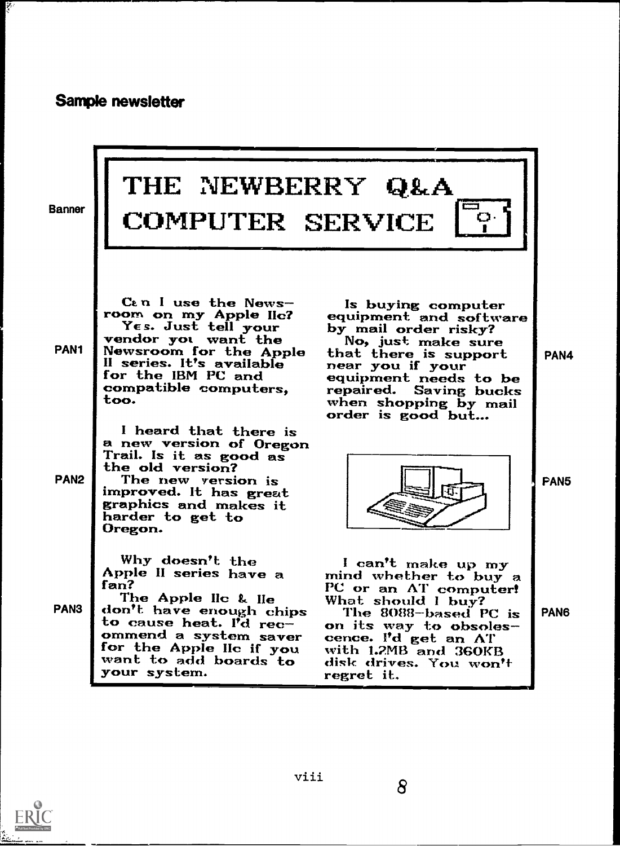# Sample newsletter

ÿ.

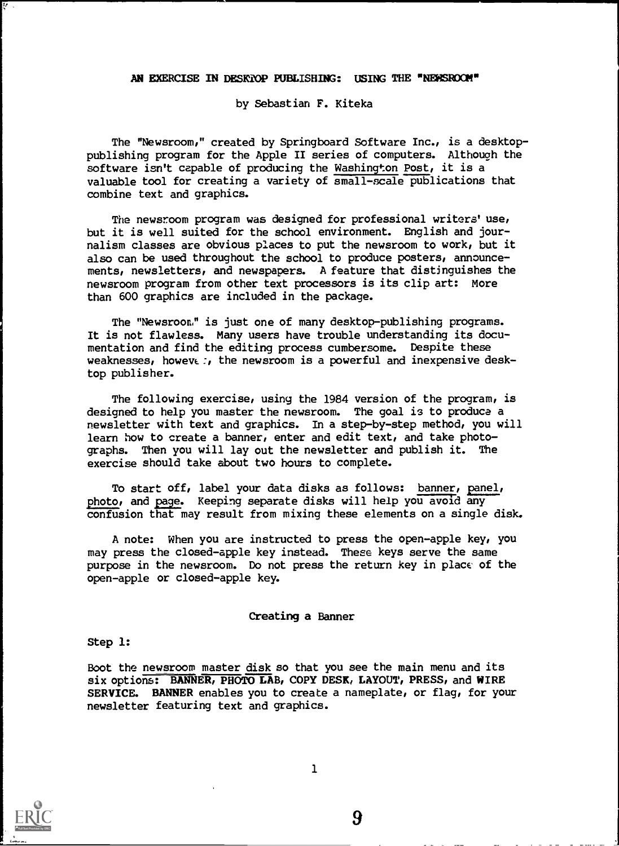#### AN EXERCISE IN DESKTOP PUBLISHING: USING THE "NEWSROOK"

by Sebastian F. Kiteka

The "Newsroom," created by Springboard Software Inc., is a desktoppublishing program for the Apple II series of computers. Although the software isn't capable of producing the Washington Post, it is a valuable tool for creating a variety of small-scale publications that combine text and graphics.

The newsroom program was designed for professional writers' use, but it is well suited for the school environment. English and journalism classes are obvious places to put the newsroom to work, but it also can be used throughout the school to produce posters, announcements, newsletters, and newspapers. A feature that distinguishes the newsroom program from other text processors is its clip art: More than 600 graphics are included in the package.

The "Newsroon? is just one of many desktop-publishing programs. It is not flawless. Many users have trouble understanding its documentation and find the editing process cumbersome. Despite these weaknesses, howeve:, the newsroom is a powerful and inexpensive desktop publisher.

The following exercise, using the 1984 version of the program, is designed to help you master the newsroom. The goal is to produce a newsletter with text and graphics. In a step-by-step method, you will learn how to create a banner, enter and edit text, and take photographs. Then you will lay out the newsletter and publish it. The exercise should take about two hours to complete.

To start off, label your data disks as follows: banner, panel, photo, and page. Keeping separate disks will help you avoid any confusion that may result from mixing these elements on a single disk.

A note: When you are instructed to press the open-apple key, you may press the closed-apple key instead. These keys serve the same purpose in the newsroom. Do not press the return key in place' of the open-apple or closed-apple key.

#### Creating a Banner

#### Step 1:

Boot the newsroom master disk so that you see the main menu and its six options: BANNER, PHOTO LAB, COPY DESK, LAYOUT, PRESS, and WIRE SERVICE. BANNER enables you to create a nameplate, or flag, for your newsletter featuring text and graphics.



 $\overline{\boldsymbol{\nu}}$  .

1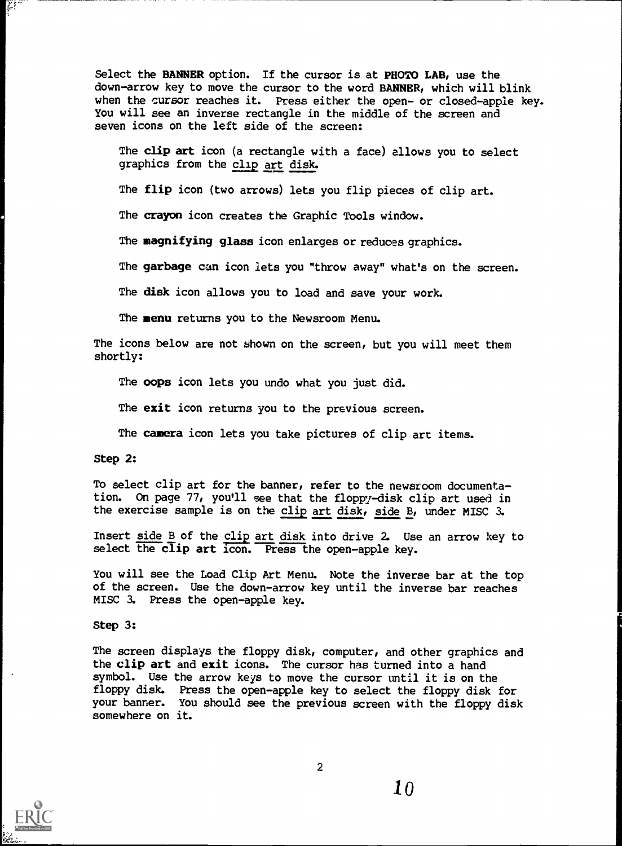Select the BANNER option. If the cursor is at PHOTO LAB, use the down-arrow key to move the cursor to the word BANNER, which will blink when the cursor reaches it. Press either the open- or closed-apple key. You will see an inverse rectangle in the middle of the screen and seven icons on the left side of the screen:

The clip art icon (a rectangle with a face) allows you to select graphics from the clip art disk.

The flip icon (two arrows) lets you flip pieces of clip art.

The crayon icon creates the Graphic Tools window.

The magnifying glass icon enlarges or reduces graphics.

The garbage can icon lets you "throw away" what's on the screen.

The disk icon allows you to load and save your work.

The menu returns you to the Newsroom Menu.

The icons below are not shown on the screen, but you will meet them shortly:

The oops icon lets you undo what you just did.

The exit icon returns you to the previous screen.

The camera icon lets you take pictures of clip art items.

Step 2:

To select clip art for the banner, refer to the newsroom documentation. On page 77, you'll see that the floppy-disk clip art used in the exercise sample is on the clip art disk, side B, under MISC 3.

Insert side B of the clip art disk into drive 2. Use an arrow key to select the clip art icon. Press the open-apple key.

You will see the Load Clip Art Menu. Note the inverse bar at the top of the screen. Use the down-arrow key until the inverse bar reaches MISC 3. Press the open-apple key.

# Step 3:

The screen displays the floppy disk, computer, and other graphics and the clip art and exit icons. The cursor has turned into a hand symbol. Use the arrow keys to move the cursor until it is on the floppy disk. Press the open-apple key to select the floppy disk for your banner. You should see the previous screen with the floppy disk somewhere on it.

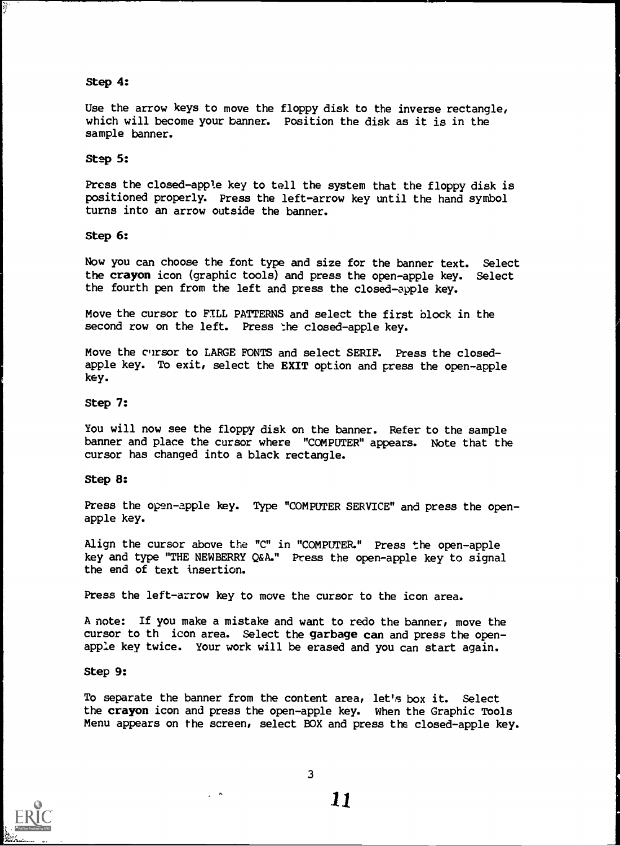#### Step 4:

Use the arrow keys to move the floppy disk to the inverse rectangle, which will become your banner. Position the disk as it is in the sample banner.

#### Step 5:

Press the closed-apple key to tell the system that the floppy disk is positioned properly. Press the left-arrow key until the hand symbol turns into an arrow outside the banner.

# Step 6:

Now you can choose the font type and size for the banner text. Select the crayon icon (graphic tools) and press the open-apple key. Select the fourth pen from the left and press the closed-apple key.

Move the cursor to FILL PATTERNS and select the first block in the second row on the left. Press the closed-apple key.

Move the cursor to LARGE FONTS and select SERIF. Press the closedapple key. To exit, select the EXIT option and press the open-apple key.

#### Step 7:

You will now see the floppy disk on the banner. Refer to the sample banner and place the cursor where "COMPUTER" appears. Note that the cursor has changed into a black rectangle.

#### Step 8:

Press the open-apple key. Type "COMPUTER SERVICE" and press the openapple key.

Align the cursor above the "C" in "COMPUTER." Press the open-apple key and type "THE NEWBERRY Q&A." Press the open-apple key to signal the end of text insertion.

Press the left-arrow key to move the cursor to the icon area.

A note: If you make a mistake and want to redo the banner, move the cursor to th icon area. Select the garbage can and press the openapple key twice. Your work will be erased and you can start again.

#### Step 9:

To separate the banner from the content area, let's box it. Select the crayon icon and press the open-apple key. When the Graphic Tools Menu appears on the screen, select BOX and press the closed-apple key.



3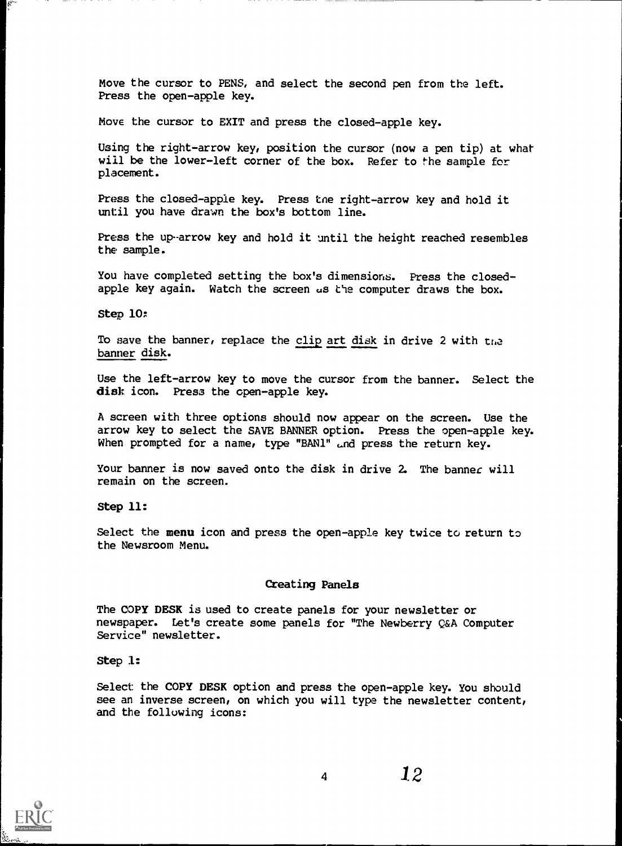Move the cursor to PENS, and select the second pen from the left. Press the open-apple key.

Move the cursor to EXIT and press the closed-apple key.

Using the right-arrow key, position the cursor (now a pen tip) at what will be the lower-left corner of the box. Refer to the sample for placement.

Press the closed-apple key. Press tne right-arrow key and hold it until you have drawn the box's bottom line.

Press the up-arrow key and hold it until the height reached resembles the sample.

You have completed setting the box's dimensions. Press the closedapple key again. Watch the screen as the computer draws the box.

Step 10:

To save the banner, replace the clip art disk in drive 2 with the banner disk.

Use the left-arrow key to move the cursor from the banner. Select the disk icon. Press the open-apple key.

A screen with three options should now appear on the screen. Use the arrow key to select the SAVE BANNER option. Press the open-apple key. When prompted for a name, type "BAN1" and press the return key.

Your banner is now saved onto the disk in drive 2. The banner will remain on the screen.

Step 11:

Select the menu icon and press the open-apple key twice to return to the Newsroom Menu.

#### Creating Panels

The COPY DESK is used to create panels for your newsletter or newspaper. Let's create some panels for "The Newberry Q&A Computer Service" newsletter.

Step 1:

Select the COPY DESK option and press the open-apple key. You should see an inverse screen, on which you will type the newsletter content, and the following icons:

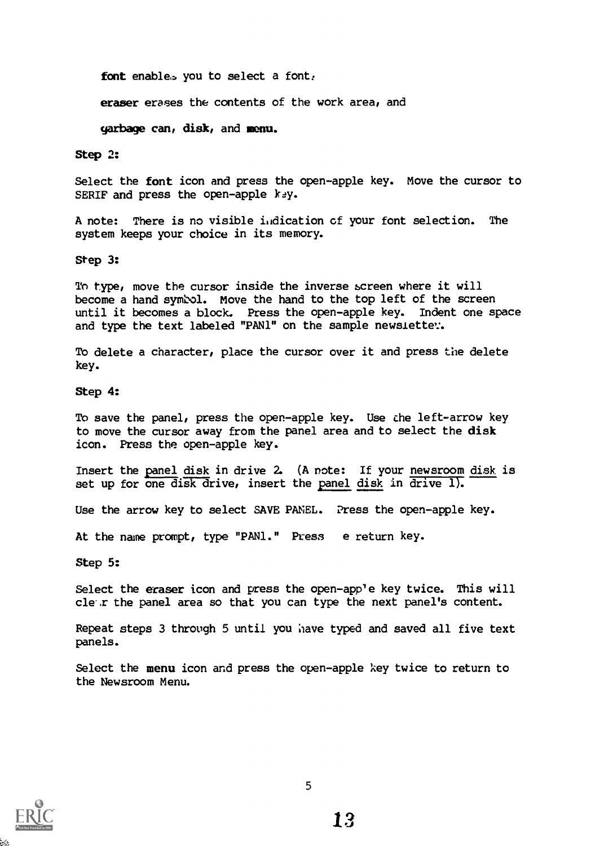font enables you to select a font.

eraser erases the contents of the work area, and

garbage can, disk, and menu.

Step 2:

Select the font icon and press the open-apple key. Move the cursor to SERIF and press the open-apple key.

A note: There is no visible indication of your font selection. The system keeps your choice in its memory.

Step 3:

To type, move the cursor inside the inverse screen where it will become a hand symbol. Move the hand to the top left of the screen until it becomes a block. Press the open-apple key. Indent one space and type the text labeled "PAN1" on the sample newslette:.

To delete a character, place the cursor over it and press the delete key.

# Step 4:

To save the panel, press the open-apple key. Use the left-arrow key to move the cursor away from the panel area and to select the disk icon. Press the open-apple key.

Insert the Panel disk in drive 2. (A note: If your newsroom disk is set up for one disk drive, insert the panel disk in  $\overline{drive}$  ).

Use the arrow key to select SAVE PANEL. Press the open-apple key.

At the name prompt, type "PAN1." Press e return key.

Step 5:

Select the eraser icon and press the open-app'e key twice. This will clew the panel area so that you can type the next panel's content.

Repeat steps 3 through 5 until you have typed and saved all five text panels.

Select the menu icon and press the open-apple key twice to return to the Newsroom Menu.

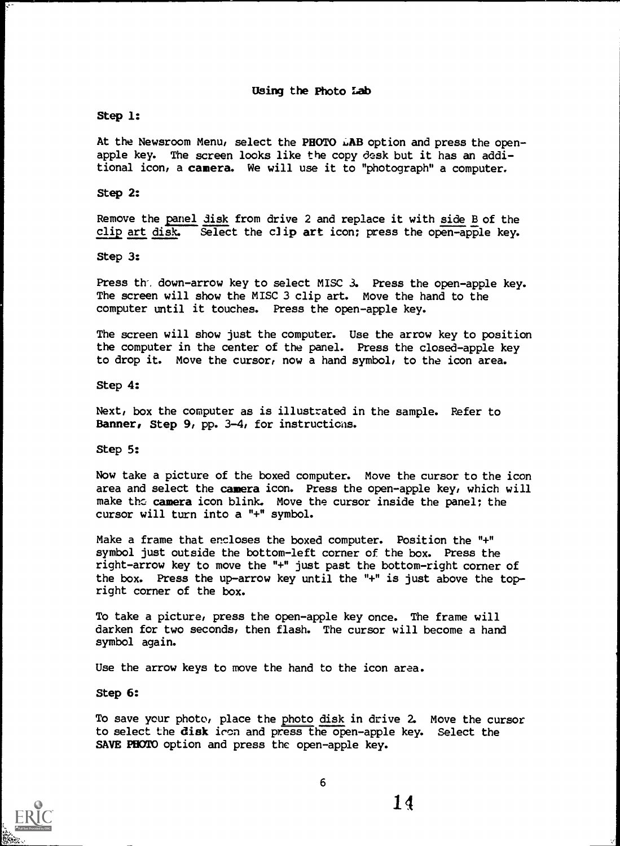# Step 1:

At the Newsroom Menu, select the PHOTO LAB option and press the openapple key. The screen looks like the copy desk but it has an additional icon, a camera. We will use it to "photograph" a computer.

Step 2:

Remove the panel disk from drive 2 and replace it with side B of the clip art disk. Select the clip art icon; press the open-apple key.

Step 3:

Press th'. down-arrow key to select MISC 3. Press the open-apple key. The screen will show the MISC 3 clip art. Move the hand to the computer until it touches. Press the open-apple key.

The screen will show just the computer. Use the arrow key to position the computer in the center of the panel. Press the closed-apple key to drop it. Move the cursor, now a hand symbol, to the icon area.

Step 4:

Next, box the computer as is illustrated in the sample. Refer to Banner, Step 9, pp. 3-4, for instructions.

Step 5:

Now take a picture of the boxed computer. Move the cursor to the icon area and select the camera icon. Press the open-apple key, which will make the camera icon blink. Move the cursor inside the panel; the cursor will turn into a "+" symbol.

Make a frame that encloses the boxed computer. Position the "+" symbol just outside the bottom-left corner of the box. Press the right-arrow key to move the "+" just past the bottom-right corner of the box. Press the up-arrow key until the "+" is just above the topright corner of the box.

To take a picture, press the open-apple key once. The frame will darken for two seconds, then flash. The cursor will become a hand symbol again.

Use the arrow keys to move the hand to the icon area.

Step 6:

To save your photo, place the photo disk in drive 2. Move the cursor to select the disk iron and press the open-apple key. Select the SAVE PHOTO option and press the open-apple key.

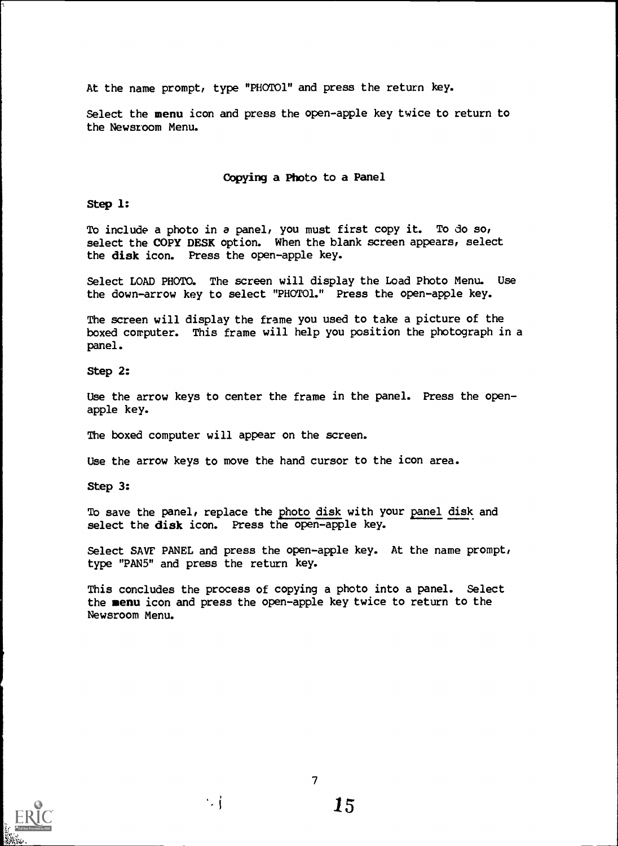At the name prompt, type "PHOT01" and press the return key.

Select the menu icon and press the open-apple key twice to return to the Newsroom Menu.

# Copying a Photo to a Panel

Step 1:

To include a photo in a panel, you must first copy it. To do so, select the COPY DESK option. When the blank screen appears, select the disk icon. Press the open-apple key.

Select LOAD PHOTO. The screen will display the Load Photo Menu. Use the down-arrow key to select "PHOTO1." Press the open-apple key.

The screen will display the frame you used to take a picture of the boxed computer. This frame will help you position the photograph in a panel.

Step 2:

Use the arrow keys to center the frame in the panel. Press the openapple key.

The boxed computer will appear on the screen.

Use the arrow keys to move the hand cursor to the icon area.

Step 3:

To save the panel, replace the photo disk with your panel disk and select the disk icon. Press the open-apple key.

Select SAVF PANEL and press the open-apple key. At the name prompt, type "PANS" and press the return key.

This concludes the process of copying a photo into a panel. Select the menu icon and press the open-apple key twice to return to the Newsroom Menu.



 $\sim$  i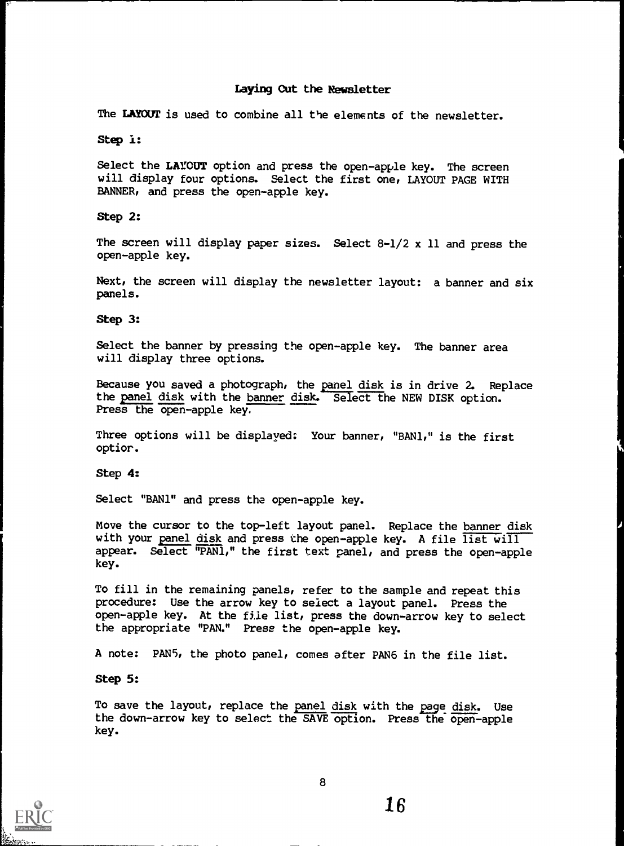# Laying Cut the Newsletter

The LAYOUT is used to combine all the elements of the newsletter.

Step is

Select the LAYOUT option and press the open-apple key. The screen will display four options. Select the first one, LAYOUT PAGE WITH BANNER, and press the open-apple key.

Step 2:

The screen will display paper sizes. Select 8-1/2 x 11 and press the open-apple key.

Next, the screen will display the newsletter layout: a banner and six panels.

Step 3:

Select the banner by pressing the open-apple key. The banner area will display three options.

Because you saved a photograph, the panel disk is in drive 2. Replace the panel disk with the banner disk. Select the NEW DISK option. Press the open-apple key.

Three options will be displayed: Your banner, "BAN1," is the first optior.

Step 4:

Select "BAN1" and press the open-apple key.

Move the cursor to the top-left layout panel. Replace the banner disk with your panel disk and press the open-apple key. A file list will appear. Select "PAN1," the first text panel, and press the open-apple key.

To fill in the remaining panels, refer to the sample and repeat this procedure: Use the arrow key to select a layout panel. Press the open-apple key. At the file list, press the down-arrow key to select the appropriate "PAN." Press the open-apple key.

A note: PAN5, the photo panel, comes after PAN6 in the file list.

Step 5:

To save the layout, replace the panel disk with the page disk. Use the down-arrow key to select the SAVE option. Press the open-apple key.

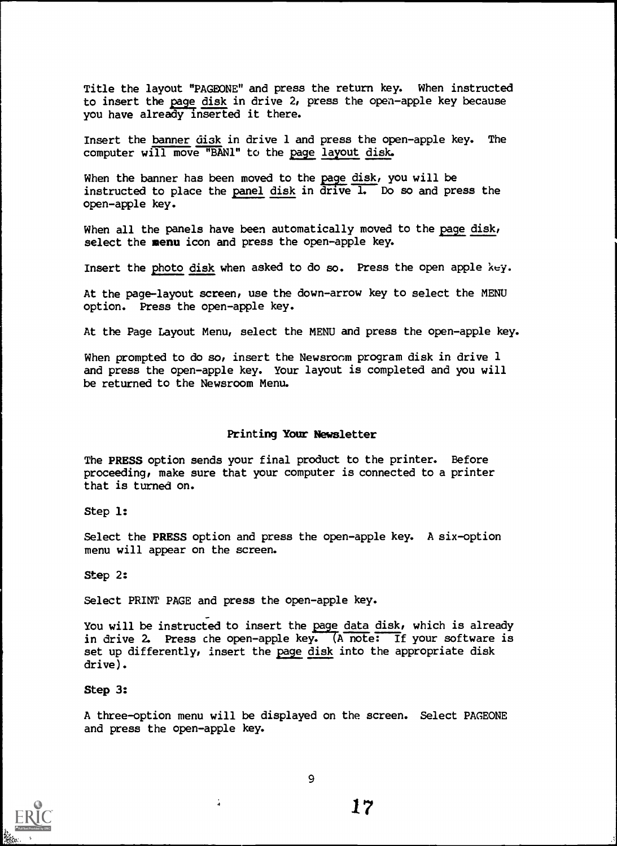Title the layout "PAGEONE" and press the return key. When instructed to insert the page disk in drive 2, press the open-apple key because you have already inserted it there.

Insert the banner di3k in drive 1 and press the open-apple key. The computer will move "BAN1" to the page layout disk.

When the banner has been moved to the page disk, you will be instructed to place the panel disk in drive 1. Do so and press the open-apple key.

When all the panels have been automatically moved to the page disk, select the menu icon and press the open-apple key.

Insert the photo disk when asked to do so. Press the open apple key.

At the page-layout screen, use the down-arrow key to select the MENU option. Press the open-apple key.

At the Page Layout Menu, select the MENU and press the open-apple key.

When prompted to do so, insert the Newsroom program disk in drive 1 and press the open-apple key. Your layout is completed and you will be returned to the Newsroom Menu.

#### Printing Your Newsletter

The PRESS option sends your final product to the printer. Before proceeding, make sure that your computer is connected to a printer that is turned on.

Step 1:

Select the PRESS option and press the open-apple key. A six-option menu will appear on the screen.

Step 2:

Select PRINT PAGE and press the open-apple key.

 $\frac{1}{4}$ 

You will be instructed to insert the page data disk, which is already in drive 2. Press che open-apple key. (A note: If your software is set up differently, insert the page disk into the appropriate disk drive).

Step 3:

A three-option menu will be displayed on the screen. Select PAGEONE and press the open-apple key.

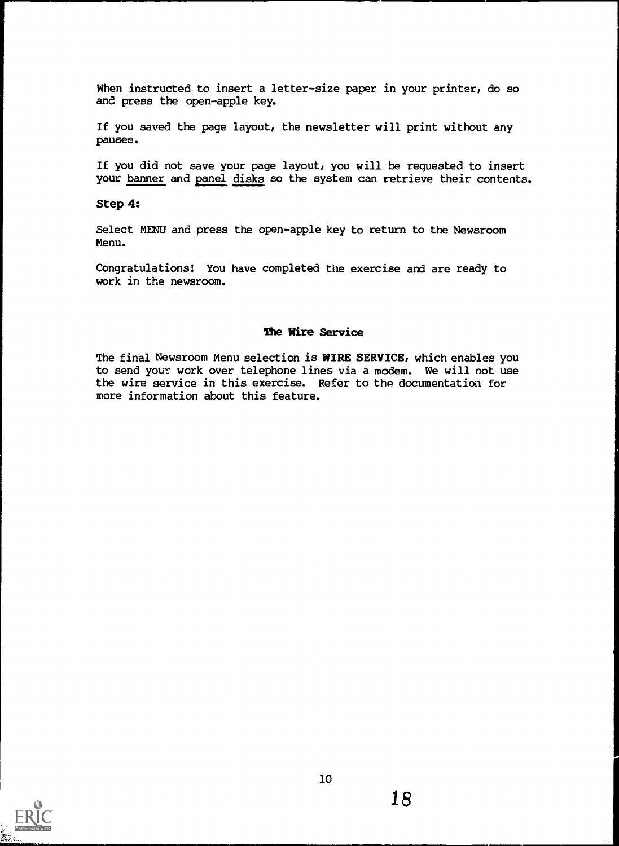When instructed to insert a letter-size paper in your printer, do so and press the open-apple key.

If you saved the page layout, the newsletter will print without any pauses.

If you did not save your page layout, you will be requested to insert your banner and panel disks so the system can retrieve their contents.

### Step 4:

Select MENU and press the open-apple key to return to the Newsroom Menu.

Congratulations! You have completed the exercise and are ready to work in the newsroom.

# The Wire Service

The final Newsroom Menu selection is WIRE SERVICE, which enables you to send your work over telephone lines via a modem. We will not use the wire service in this exercise. Refer to the documentation for more information about this feature.